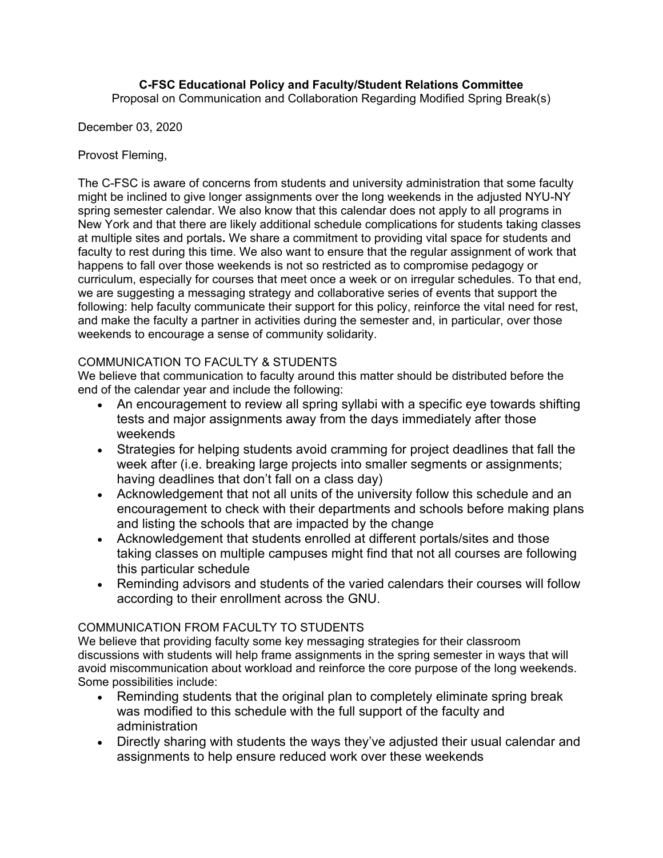# **C-FSC Educational Policy and Faculty/Student Relations Committee**

Proposal on Communication and Collaboration Regarding Modified Spring Break(s)

December 03, 2020

## Provost Fleming,

The C-FSC is aware of concerns from students and university administration that some faculty might be inclined to give longer assignments over the long weekends in the adjusted NYU-NY spring semester calendar. We also know that this calendar does not apply to all programs in New York and that there are likely additional schedule complications for students taking classes at multiple sites and portals**.** We share a commitment to providing vital space for students and faculty to rest during this time. We also want to ensure that the regular assignment of work that happens to fall over those weekends is not so restricted as to compromise pedagogy or curriculum, especially for courses that meet once a week or on irregular schedules. To that end, we are suggesting a messaging strategy and collaborative series of events that support the following: help faculty communicate their support for this policy, reinforce the vital need for rest, and make the faculty a partner in activities during the semester and, in particular, over those weekends to encourage a sense of community solidarity.

## COMMUNICATION TO FACULTY & STUDENTS

We believe that communication to faculty around this matter should be distributed before the end of the calendar year and include the following:

- An encouragement to review all spring syllabi with a specific eye towards shifting tests and major assignments away from the days immediately after those weekends
- Strategies for helping students avoid cramming for project deadlines that fall the week after (i.e. breaking large projects into smaller segments or assignments; having deadlines that don't fall on a class day)
- Acknowledgement that not all units of the university follow this schedule and an encouragement to check with their departments and schools before making plans and listing the schools that are impacted by the change
- Acknowledgement that students enrolled at different portals/sites and those taking classes on multiple campuses might find that not all courses are following this particular schedule
- Reminding advisors and students of the varied calendars their courses will follow according to their enrollment across the GNU.

# COMMUNICATION FROM FACULTY TO STUDENTS

We believe that providing faculty some key messaging strategies for their classroom discussions with students will help frame assignments in the spring semester in ways that will avoid miscommunication about workload and reinforce the core purpose of the long weekends. Some possibilities include:

- Reminding students that the original plan to completely eliminate spring break was modified to this schedule with the full support of the faculty and administration
- Directly sharing with students the ways they've adjusted their usual calendar and assignments to help ensure reduced work over these weekends